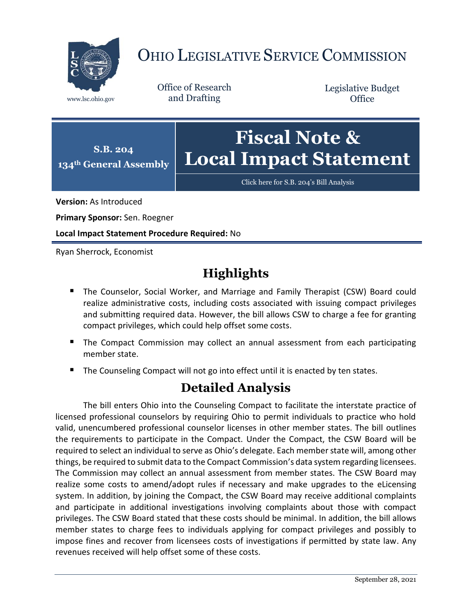

## OHIO LEGISLATIVE SERVICE COMMISSION

Office of Research www.lsc.ohio.gov and Drafting

Legislative Budget **Office** 



[Click here for S.B. 204](https://www.legislature.ohio.gov/legislation/legislation-documents?id=GA134-SB-204)'s Bill Analysis

**Version:** As Introduced

**Primary Sponsor:** Sen. Roegner

**Local Impact Statement Procedure Required:** No

Ryan Sherrock, Economist

## **Highlights**

- **The Counselor, Social Worker, and Marriage and Family Therapist (CSW) Board could** realize administrative costs, including costs associated with issuing compact privileges and submitting required data. However, the bill allows CSW to charge a fee for granting compact privileges, which could help offset some costs.
- **The Compact Commission may collect an annual assessment from each participating** member state.
- The Counseling Compact will not go into effect until it is enacted by ten states.

## **Detailed Analysis**

The bill enters Ohio into the Counseling Compact to facilitate the interstate practice of licensed professional counselors by requiring Ohio to permit individuals to practice who hold valid, unencumbered professional counselor licenses in other member states. The bill outlines the requirements to participate in the Compact. Under the Compact, the CSW Board will be required to select an individual to serve as Ohio's delegate. Each member state will, among other things, be required to submit data to the Compact Commission's data system regarding licensees. The Commission may collect an annual assessment from member states. The CSW Board may realize some costs to amend/adopt rules if necessary and make upgrades to the eLicensing system. In addition, by joining the Compact, the CSW Board may receive additional complaints and participate in additional investigations involving complaints about those with compact privileges. The CSW Board stated that these costs should be minimal. In addition, the bill allows member states to charge fees to individuals applying for compact privileges and possibly to impose fines and recover from licensees costs of investigations if permitted by state law. Any revenues received will help offset some of these costs.